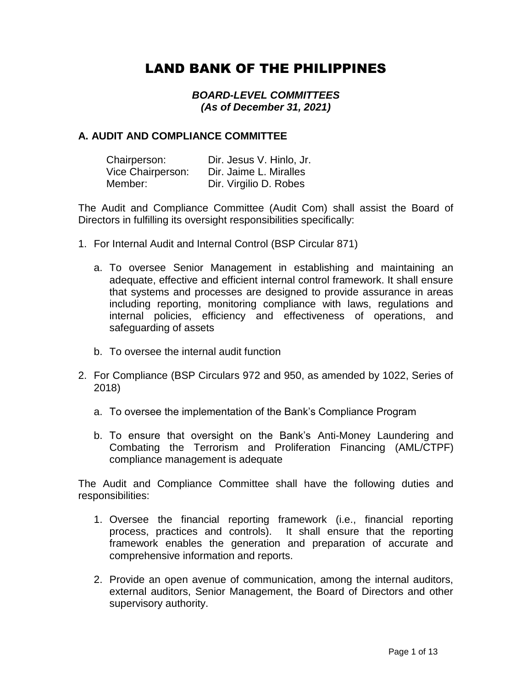# LAND BANK OF THE PHILIPPINES

### *BOARD-LEVEL COMMITTEES (As of December 31, 2021)*

### **A. AUDIT AND COMPLIANCE COMMITTEE**

| Chairperson:      | Dir. Jesus V. Hinlo, Jr. |
|-------------------|--------------------------|
| Vice Chairperson: | Dir. Jaime L. Miralles   |
| Member:           | Dir. Virgilio D. Robes   |

The Audit and Compliance Committee (Audit Com) shall assist the Board of Directors in fulfilling its oversight responsibilities specifically:

- 1. For Internal Audit and Internal Control (BSP Circular 871)
	- a. To oversee Senior Management in establishing and maintaining an adequate, effective and efficient internal control framework. It shall ensure that systems and processes are designed to provide assurance in areas including reporting, monitoring compliance with laws, regulations and internal policies, efficiency and effectiveness of operations, and safeguarding of assets
	- b. To oversee the internal audit function
- 2. For Compliance (BSP Circulars 972 and 950, as amended by 1022, Series of 2018)
	- a. To oversee the implementation of the Bank's Compliance Program
	- b. To ensure that oversight on the Bank's Anti-Money Laundering and Combating the Terrorism and Proliferation Financing (AML/CTPF) compliance management is adequate

The Audit and Compliance Committee shall have the following duties and responsibilities:

- 1. Oversee the financial reporting framework (i.e., financial reporting process, practices and controls). It shall ensure that the reporting framework enables the generation and preparation of accurate and comprehensive information and reports.
- 2. Provide an open avenue of communication, among the internal auditors, external auditors, Senior Management, the Board of Directors and other supervisory authority.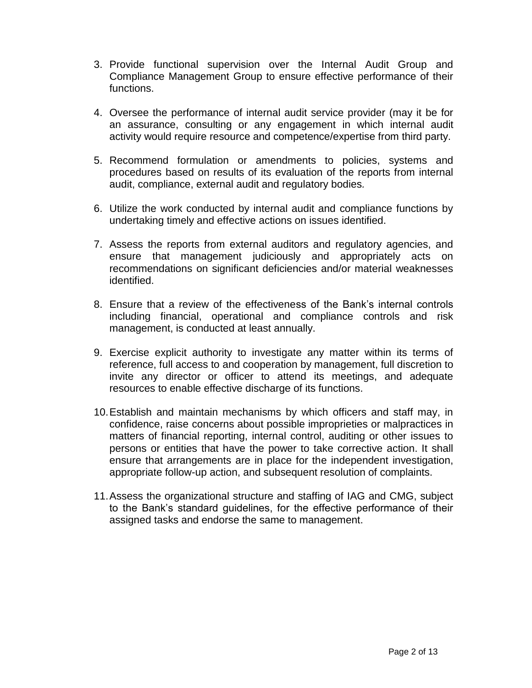- 3. Provide functional supervision over the Internal Audit Group and Compliance Management Group to ensure effective performance of their functions.
- 4. Oversee the performance of internal audit service provider (may it be for an assurance, consulting or any engagement in which internal audit activity would require resource and competence/expertise from third party.
- 5. Recommend formulation or amendments to policies, systems and procedures based on results of its evaluation of the reports from internal audit, compliance, external audit and regulatory bodies*.*
- 6. Utilize the work conducted by internal audit and compliance functions by undertaking timely and effective actions on issues identified.
- 7. Assess the reports from external auditors and regulatory agencies, and ensure that management judiciously and appropriately acts on recommendations on significant deficiencies and/or material weaknesses identified.
- 8. Ensure that a review of the effectiveness of the Bank's internal controls including financial, operational and compliance controls and risk management, is conducted at least annually.
- 9. Exercise explicit authority to investigate any matter within its terms of reference, full access to and cooperation by management, full discretion to invite any director or officer to attend its meetings, and adequate resources to enable effective discharge of its functions.
- 10.Establish and maintain mechanisms by which officers and staff may, in confidence, raise concerns about possible improprieties or malpractices in matters of financial reporting, internal control, auditing or other issues to persons or entities that have the power to take corrective action. It shall ensure that arrangements are in place for the independent investigation, appropriate follow-up action, and subsequent resolution of complaints.
- 11.Assess the organizational structure and staffing of IAG and CMG, subject to the Bank's standard guidelines, for the effective performance of their assigned tasks and endorse the same to management.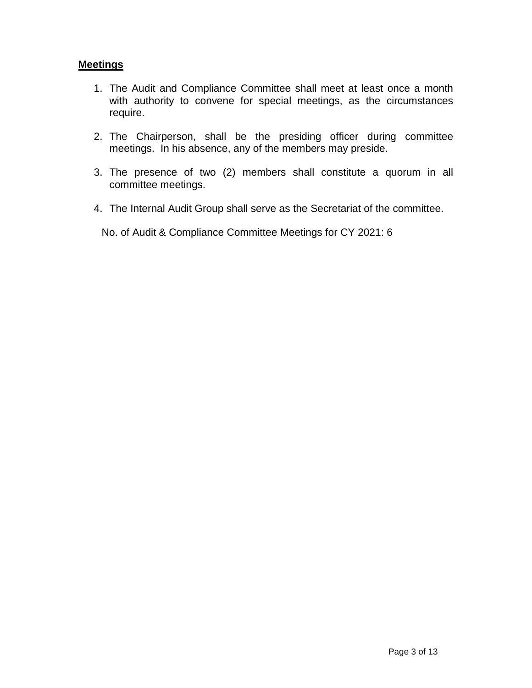## **Meetings**

- 1. The Audit and Compliance Committee shall meet at least once a month with authority to convene for special meetings, as the circumstances require.
- 2. The Chairperson, shall be the presiding officer during committee meetings. In his absence, any of the members may preside.
- 3. The presence of two (2) members shall constitute a quorum in all committee meetings.
- 4. The Internal Audit Group shall serve as the Secretariat of the committee.

No. of Audit & Compliance Committee Meetings for CY 2021: 6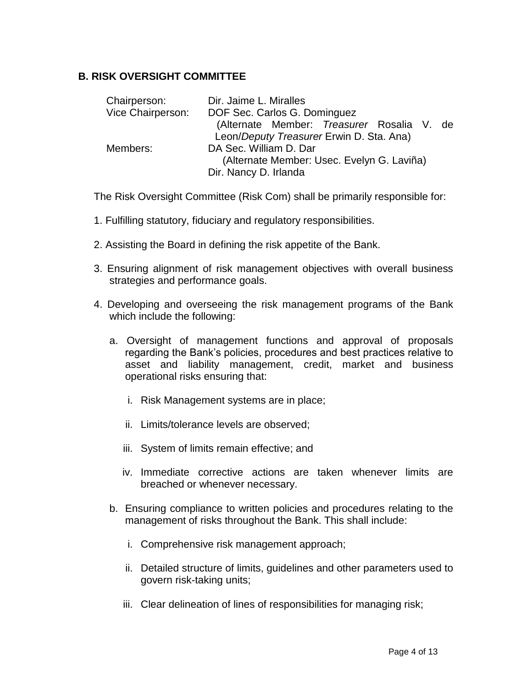## **B. RISK OVERSIGHT COMMITTEE**

| Chairperson:      | Dir. Jaime L. Miralles                     |  |
|-------------------|--------------------------------------------|--|
| Vice Chairperson: | DOF Sec. Carlos G. Dominguez               |  |
|                   | (Alternate Member: Treasurer Rosalia V. de |  |
|                   | Leon/Deputy Treasurer Erwin D. Sta. Ana)   |  |
| Members:          | DA Sec. William D. Dar                     |  |
|                   | (Alternate Member: Usec. Evelyn G. Laviña) |  |
|                   | Dir. Nancy D. Irlanda                      |  |

The Risk Oversight Committee (Risk Com) shall be primarily responsible for:

- 1. Fulfilling statutory, fiduciary and regulatory responsibilities.
- 2. Assisting the Board in defining the risk appetite of the Bank.
- 3. Ensuring alignment of risk management objectives with overall business strategies and performance goals.
- 4. Developing and overseeing the risk management programs of the Bank which include the following:
	- a. Oversight of management functions and approval of proposals regarding the Bank's policies, procedures and best practices relative to asset and liability management, credit, market and business operational risks ensuring that:
		- i. Risk Management systems are in place;
		- ii. Limits/tolerance levels are observed;
		- iii. System of limits remain effective; and
		- iv. Immediate corrective actions are taken whenever limits are breached or whenever necessary.
	- b. Ensuring compliance to written policies and procedures relating to the management of risks throughout the Bank. This shall include:
		- i. Comprehensive risk management approach;
		- ii. Detailed structure of limits, guidelines and other parameters used to govern risk-taking units;
		- iii. Clear delineation of lines of responsibilities for managing risk;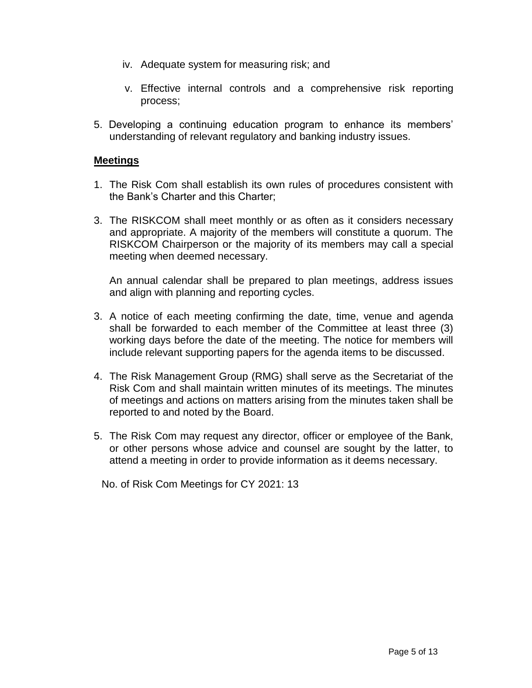- iv. Adequate system for measuring risk; and
- v. Effective internal controls and a comprehensive risk reporting process;
- 5. Developing a continuing education program to enhance its members' understanding of relevant regulatory and banking industry issues.

#### **Meetings**

- 1. The Risk Com shall establish its own rules of procedures consistent with the Bank's Charter and this Charter;
- 3. The RISKCOM shall meet monthly or as often as it considers necessary and appropriate. A majority of the members will constitute a quorum. The RISKCOM Chairperson or the majority of its members may call a special meeting when deemed necessary.

An annual calendar shall be prepared to plan meetings, address issues and align with planning and reporting cycles.

- 3. A notice of each meeting confirming the date, time, venue and agenda shall be forwarded to each member of the Committee at least three (3) working days before the date of the meeting. The notice for members will include relevant supporting papers for the agenda items to be discussed.
- 4. The Risk Management Group (RMG) shall serve as the Secretariat of the Risk Com and shall maintain written minutes of its meetings. The minutes of meetings and actions on matters arising from the minutes taken shall be reported to and noted by the Board.
- 5. The Risk Com may request any director, officer or employee of the Bank, or other persons whose advice and counsel are sought by the latter, to attend a meeting in order to provide information as it deems necessary.

No. of Risk Com Meetings for CY 2021: 13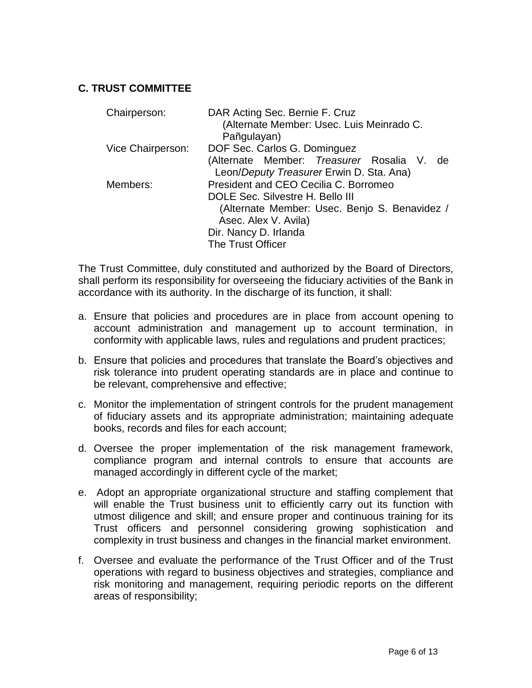# **C. TRUST COMMITTEE**

| Chairperson:      | DAR Acting Sec. Bernie F. Cruz<br>(Alternate Member: Usec. Luis Meinrado C. |
|-------------------|-----------------------------------------------------------------------------|
|                   | Pañgulayan)                                                                 |
| Vice Chairperson: | DOF Sec. Carlos G. Dominguez                                                |
|                   | (Alternate Member: Treasurer Rosalia V. de                                  |
|                   | Leon/Deputy Treasurer Erwin D. Sta. Ana)                                    |
| Members:          | President and CEO Cecilia C. Borromeo                                       |
|                   | DOLE Sec. Silvestre H. Bello III                                            |
|                   | (Alternate Member: Usec. Benjo S. Benavidez /                               |
|                   | Asec. Alex V. Avila)                                                        |
|                   | Dir. Nancy D. Irlanda                                                       |
|                   | <b>The Trust Officer</b>                                                    |

The Trust Committee, duly constituted and authorized by the Board of Directors, shall perform its responsibility for overseeing the fiduciary activities of the Bank in accordance with its authority. In the discharge of its function, it shall:

- a. Ensure that policies and procedures are in place from account opening to account administration and management up to account termination, in conformity with applicable laws, rules and regulations and prudent practices;
- b. Ensure that policies and procedures that translate the Board's objectives and risk tolerance into prudent operating standards are in place and continue to be relevant, comprehensive and effective;
- c. Monitor the implementation of stringent controls for the prudent management of fiduciary assets and its appropriate administration; maintaining adequate books, records and files for each account;
- d. Oversee the proper implementation of the risk management framework, compliance program and internal controls to ensure that accounts are managed accordingly in different cycle of the market;
- e. Adopt an appropriate organizational structure and staffing complement that will enable the Trust business unit to efficiently carry out its function with utmost diligence and skill; and ensure proper and continuous training for its Trust officers and personnel considering growing sophistication and complexity in trust business and changes in the financial market environment.
- f. Oversee and evaluate the performance of the Trust Officer and of the Trust operations with regard to business objectives and strategies, compliance and risk monitoring and management, requiring periodic reports on the different areas of responsibility;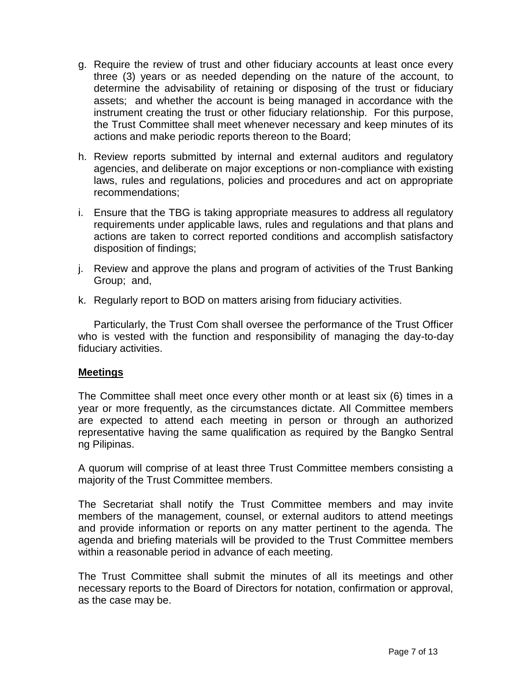- g. Require the review of trust and other fiduciary accounts at least once every three (3) years or as needed depending on the nature of the account, to determine the advisability of retaining or disposing of the trust or fiduciary assets; and whether the account is being managed in accordance with the instrument creating the trust or other fiduciary relationship. For this purpose, the Trust Committee shall meet whenever necessary and keep minutes of its actions and make periodic reports thereon to the Board;
- h. Review reports submitted by internal and external auditors and regulatory agencies, and deliberate on major exceptions or non-compliance with existing laws, rules and regulations, policies and procedures and act on appropriate recommendations;
- i. Ensure that the TBG is taking appropriate measures to address all regulatory requirements under applicable laws, rules and regulations and that plans and actions are taken to correct reported conditions and accomplish satisfactory disposition of findings;
- j. Review and approve the plans and program of activities of the Trust Banking Group; and,
- k. Regularly report to BOD on matters arising from fiduciary activities.

Particularly, the Trust Com shall oversee the performance of the Trust Officer who is vested with the function and responsibility of managing the day-to-day fiduciary activities.

## **Meetings**

The Committee shall meet once every other month or at least six (6) times in a year or more frequently, as the circumstances dictate. All Committee members are expected to attend each meeting in person or through an authorized representative having the same qualification as required by the Bangko Sentral ng Pilipinas.

A quorum will comprise of at least three Trust Committee members consisting a majority of the Trust Committee members.

The Secretariat shall notify the Trust Committee members and may invite members of the management, counsel, or external auditors to attend meetings and provide information or reports on any matter pertinent to the agenda. The agenda and briefing materials will be provided to the Trust Committee members within a reasonable period in advance of each meeting.

The Trust Committee shall submit the minutes of all its meetings and other necessary reports to the Board of Directors for notation, confirmation or approval, as the case may be.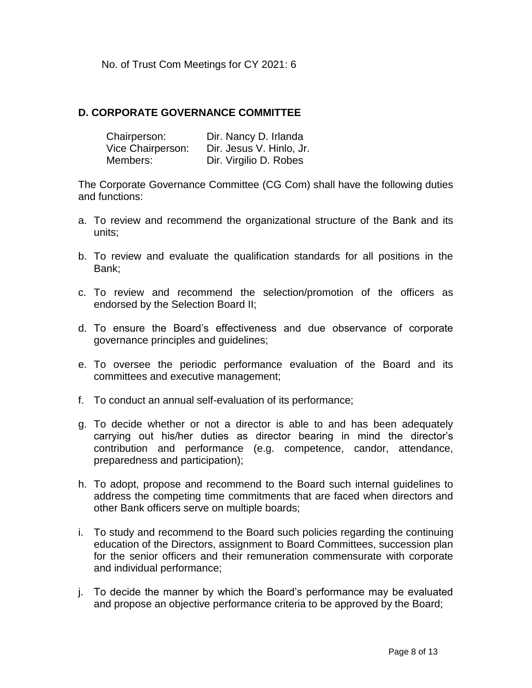No. of Trust Com Meetings for CY 2021: 6

## **D. CORPORATE GOVERNANCE COMMITTEE**

| Chairperson:      | Dir. Nancy D. Irlanda    |
|-------------------|--------------------------|
| Vice Chairperson: | Dir. Jesus V. Hinlo, Jr. |
| Members:          | Dir. Virgilio D. Robes   |

The Corporate Governance Committee (CG Com) shall have the following duties and functions:

- a. To review and recommend the organizational structure of the Bank and its units;
- b. To review and evaluate the qualification standards for all positions in the Bank;
- c. To review and recommend the selection/promotion of the officers as endorsed by the Selection Board II;
- d. To ensure the Board's effectiveness and due observance of corporate governance principles and guidelines;
- e. To oversee the periodic performance evaluation of the Board and its committees and executive management;
- f. To conduct an annual self-evaluation of its performance;
- g. To decide whether or not a director is able to and has been adequately carrying out his/her duties as director bearing in mind the director's contribution and performance (e.g. competence, candor, attendance, preparedness and participation);
- h. To adopt, propose and recommend to the Board such internal guidelines to address the competing time commitments that are faced when directors and other Bank officers serve on multiple boards;
- i. To study and recommend to the Board such policies regarding the continuing education of the Directors, assignment to Board Committees, succession plan for the senior officers and their remuneration commensurate with corporate and individual performance;
- j. To decide the manner by which the Board's performance may be evaluated and propose an objective performance criteria to be approved by the Board;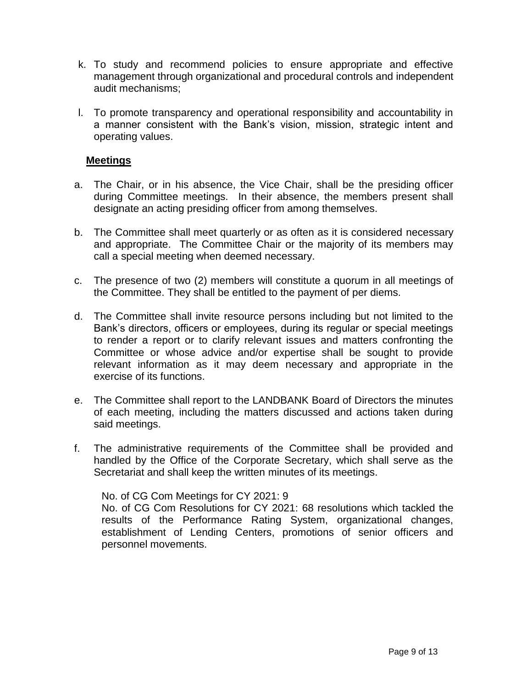- k. To study and recommend policies to ensure appropriate and effective management through organizational and procedural controls and independent audit mechanisms;
- l. To promote transparency and operational responsibility and accountability in a manner consistent with the Bank's vision, mission, strategic intent and operating values.

#### **Meetings**

- a. The Chair, or in his absence, the Vice Chair, shall be the presiding officer during Committee meetings. In their absence, the members present shall designate an acting presiding officer from among themselves.
- b. The Committee shall meet quarterly or as often as it is considered necessary and appropriate. The Committee Chair or the majority of its members may call a special meeting when deemed necessary.
- c. The presence of two (2) members will constitute a quorum in all meetings of the Committee. They shall be entitled to the payment of per diems.
- d. The Committee shall invite resource persons including but not limited to the Bank's directors, officers or employees, during its regular or special meetings to render a report or to clarify relevant issues and matters confronting the Committee or whose advice and/or expertise shall be sought to provide relevant information as it may deem necessary and appropriate in the exercise of its functions.
- e. The Committee shall report to the LANDBANK Board of Directors the minutes of each meeting, including the matters discussed and actions taken during said meetings.
- f. The administrative requirements of the Committee shall be provided and handled by the Office of the Corporate Secretary, which shall serve as the Secretariat and shall keep the written minutes of its meetings.

No. of CG Com Meetings for CY 2021: 9

No. of CG Com Resolutions for CY 2021: 68 resolutions which tackled the results of the Performance Rating System, organizational changes, establishment of Lending Centers, promotions of senior officers and personnel movements.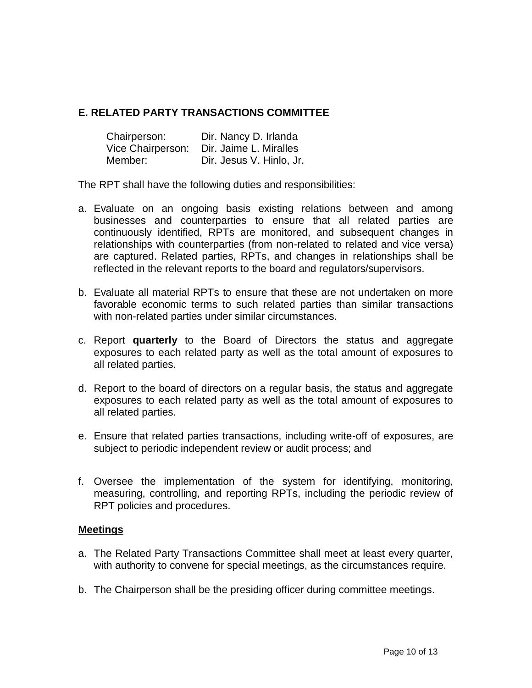# **E. RELATED PARTY TRANSACTIONS COMMITTEE**

| Chairperson:      | Dir. Nancy D. Irlanda    |
|-------------------|--------------------------|
| Vice Chairperson: | Dir. Jaime L. Miralles   |
| Member:           | Dir. Jesus V. Hinlo, Jr. |

The RPT shall have the following duties and responsibilities:

- a. Evaluate on an ongoing basis existing relations between and among businesses and counterparties to ensure that all related parties are continuously identified, RPTs are monitored, and subsequent changes in relationships with counterparties (from non-related to related and vice versa) are captured. Related parties, RPTs, and changes in relationships shall be reflected in the relevant reports to the board and regulators/supervisors.
- b. Evaluate all material RPTs to ensure that these are not undertaken on more favorable economic terms to such related parties than similar transactions with non-related parties under similar circumstances.
- c. Report **quarterly** to the Board of Directors the status and aggregate exposures to each related party as well as the total amount of exposures to all related parties.
- d. Report to the board of directors on a regular basis, the status and aggregate exposures to each related party as well as the total amount of exposures to all related parties.
- e. Ensure that related parties transactions, including write-off of exposures, are subject to periodic independent review or audit process; and
- f. Oversee the implementation of the system for identifying, monitoring, measuring, controlling, and reporting RPTs, including the periodic review of RPT policies and procedures.

#### **Meetings**

- a. The Related Party Transactions Committee shall meet at least every quarter, with authority to convene for special meetings, as the circumstances require.
- b. The Chairperson shall be the presiding officer during committee meetings.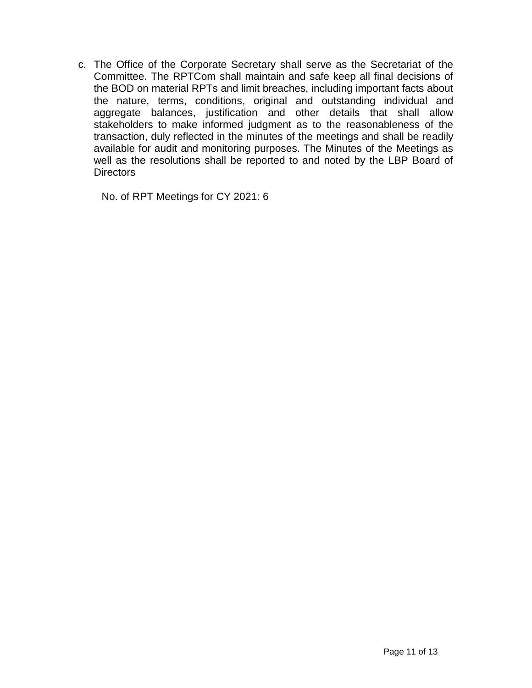c. The Office of the Corporate Secretary shall serve as the Secretariat of the Committee. The RPTCom shall maintain and safe keep all final decisions of the BOD on material RPTs and limit breaches, including important facts about the nature, terms, conditions, original and outstanding individual and aggregate balances, justification and other details that shall allow stakeholders to make informed judgment as to the reasonableness of the transaction, duly reflected in the minutes of the meetings and shall be readily available for audit and monitoring purposes. The Minutes of the Meetings as well as the resolutions shall be reported to and noted by the LBP Board of **Directors** 

No. of RPT Meetings for CY 2021: 6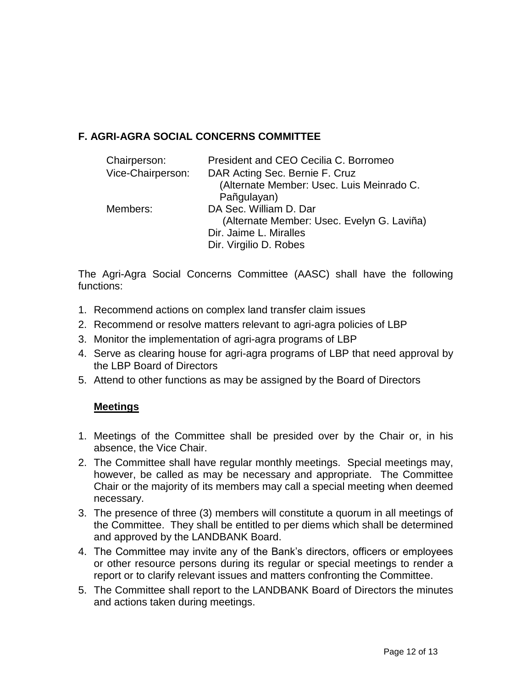# **F. AGRI-AGRA SOCIAL CONCERNS COMMITTEE**

| Chairperson:      | President and CEO Cecilia C. Borromeo      |
|-------------------|--------------------------------------------|
| Vice-Chairperson: | DAR Acting Sec. Bernie F. Cruz             |
|                   | (Alternate Member: Usec. Luis Meinrado C.  |
|                   | Pañgulayan)                                |
| Members:          | DA Sec. William D. Dar                     |
|                   | (Alternate Member: Usec. Evelyn G. Laviña) |
|                   | Dir. Jaime L. Miralles                     |
|                   | Dir. Virgilio D. Robes                     |

The Agri-Agra Social Concerns Committee (AASC) shall have the following functions:

- 1. Recommend actions on complex land transfer claim issues
- 2. Recommend or resolve matters relevant to agri-agra policies of LBP
- 3. Monitor the implementation of agri-agra programs of LBP
- 4. Serve as clearing house for agri-agra programs of LBP that need approval by the LBP Board of Directors
- 5. Attend to other functions as may be assigned by the Board of Directors

# **Meetings**

- 1. Meetings of the Committee shall be presided over by the Chair or, in his absence, the Vice Chair.
- 2. The Committee shall have regular monthly meetings. Special meetings may, however, be called as may be necessary and appropriate. The Committee Chair or the majority of its members may call a special meeting when deemed necessary.
- 3. The presence of three (3) members will constitute a quorum in all meetings of the Committee. They shall be entitled to per diems which shall be determined and approved by the LANDBANK Board.
- 4. The Committee may invite any of the Bank's directors, officers or employees or other resource persons during its regular or special meetings to render a report or to clarify relevant issues and matters confronting the Committee.
- 5. The Committee shall report to the LANDBANK Board of Directors the minutes and actions taken during meetings.